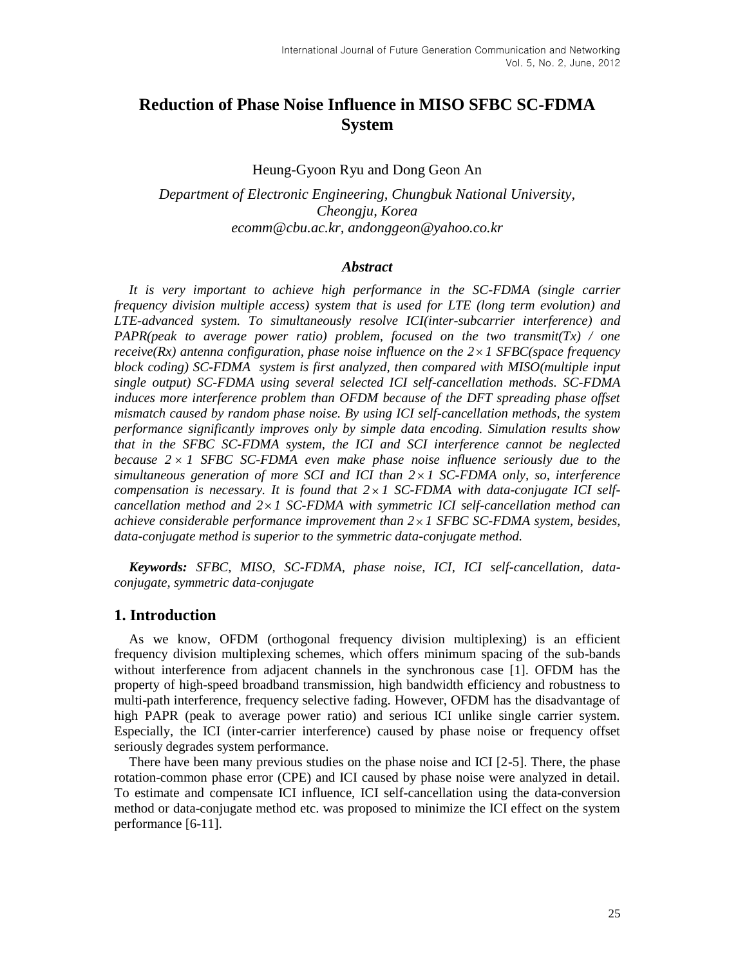# **Reduction of Phase Noise Influence in MISO SFBC SC-FDMA System**

Heung-Gyoon Ryu and Dong Geon An

*Department of Electronic Engineering, Chungbuk National University, Cheongju, Korea ecomm@cbu.ac.kr, andonggeon@yahoo.co.kr*

#### *Abstract*

*It is very important to achieve high performance in the SC-FDMA (single carrier frequency division multiple access) system that is used for LTE (long term evolution) and LTE-advanced system. To simultaneously resolve ICI(inter-subcarrier interference) and PAPR(peak to average power ratio) problem, focused on the two transmit(Tx) / one receive(Rx) antenna configuration, phase noise influence on the 2 1 SFBC(space frequency block coding) SC-FDMA system is first analyzed, then compared with MISO(multiple input single output) SC-FDMA using several selected ICI self-cancellation methods. SC-FDMA induces more interference problem than OFDM because of the DFT spreading phase offset mismatch caused by random phase noise. By using ICI self-cancellation methods, the system performance significantly improves only by simple data encoding. Simulation results show that in the SFBC SC-FDMA system, the ICI and SCI interference cannot be neglected because 2 1 SFBC SC-FDMA even make phase noise influence seriously due to the simultaneous generation of more SCI and ICI than 2 1 SC-FDMA only, so, interference compensation is necessary. It is found that 2 1 SC-FDMA with data-conjugate ICI selfcancellation method and 2 1 SC-FDMA with symmetric ICI self-cancellation method can achieve considerable performance improvement than 2 1 SFBC SC-FDMA system, besides, data-conjugate method is superior to the symmetric data-conjugate method.*

*Keywords: SFBC, MISO, SC-FDMA, phase noise, ICI, ICI self-cancellation, dataconjugate, symmetric data-conjugate*

### **1. Introduction**

As we know, OFDM (orthogonal frequency division multiplexing) is an efficient frequency division multiplexing schemes, which offers minimum spacing of the sub-bands without interference from adjacent channels in the synchronous case [1]. OFDM has the property of high-speed broadband transmission, high bandwidth efficiency and robustness to multi-path interference, frequency selective fading. However, OFDM has the disadvantage of high PAPR (peak to average power ratio) and serious ICI unlike single carrier system. Especially, the ICI (inter-carrier interference) caused by phase noise or frequency offset seriously degrades system performance.

There have been many previous studies on the phase noise and ICI [2-5]. There, the phase rotation-common phase error (CPE) and ICI caused by phase noise were analyzed in detail. To estimate and compensate ICI influence, ICI self-cancellation using the data-conversion method or data-conjugate method etc. was proposed to minimize the ICI effect on the system performance [6-11].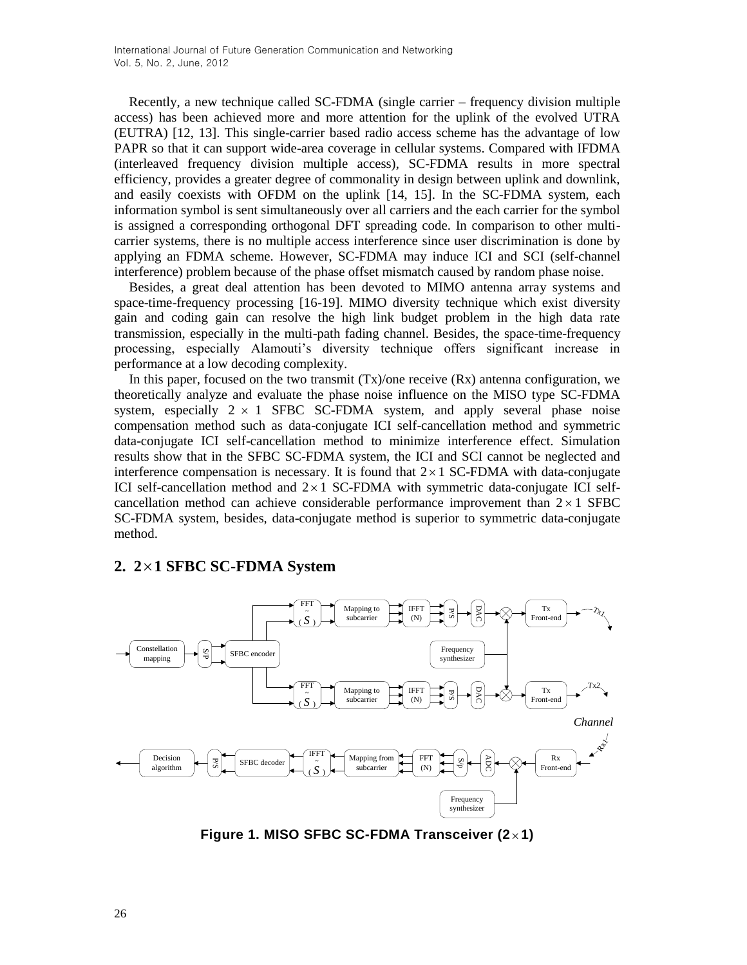Recently, a new technique called SC-FDMA (single carrier – frequency division multiple access) has been achieved more and more attention for the uplink of the evolved UTRA (EUTRA) [12, 13]. This single-carrier based radio access scheme has the advantage of low PAPR so that it can support wide-area coverage in cellular systems. Compared with IFDMA (interleaved frequency division multiple access), SC-FDMA results in more spectral efficiency, provides a greater degree of commonality in design between uplink and downlink, and easily coexists with OFDM on the uplink [14, 15]. In the SC-FDMA system, each information symbol is sent simultaneously over all carriers and the each carrier for the symbol is assigned a corresponding orthogonal DFT spreading code. In comparison to other multicarrier systems, there is no multiple access interference since user discrimination is done by applying an FDMA scheme. However, SC-FDMA may induce ICI and SCI (self-channel interference) problem because of the phase offset mismatch caused by random phase noise.

Besides, a great deal attention has been devoted to MIMO antenna array systems and space-time-frequency processing [16-19]. MIMO diversity technique which exist diversity gain and coding gain can resolve the high link budget problem in the high data rate transmission, especially in the multi-path fading channel. Besides, the space-time-frequency processing, especially Alamouti's diversity technique offers significant increase in performance at a low decoding complexity.

In this paper, focused on the two transmit  $(Tx)/\text{one receive (Rx)}$  antenna configuration, we theoretically analyze and evaluate the phase noise influence on the MISO type SC-FDMA system, especially  $2 \times 1$  SFBC SC-FDMA system, and apply several phase noise compensation method such as data-conjugate ICI self-cancellation method and symmetric data-conjugate ICI self-cancellation method to minimize interference effect. Simulation results show that in the SFBC SC-FDMA system, the ICI and SCI cannot be neglected and interference compensation is necessary. It is found that  $2 \times 1$  SC-FDMA with data-conjugate ICI self-cancellation method and  $2 \times 1$  SC-FDMA with symmetric data-conjugate ICI selfcancellation method can achieve considerable performance improvement than  $2 \times 1$  SFBC SC-FDMA system, besides, data-conjugate method is superior to symmetric data-conjugate method.



# **2. 2 1 SFBC SC-FDMA System**

**Figure 1. MISO SFBC SC-FDMA Transceiver (2 1)**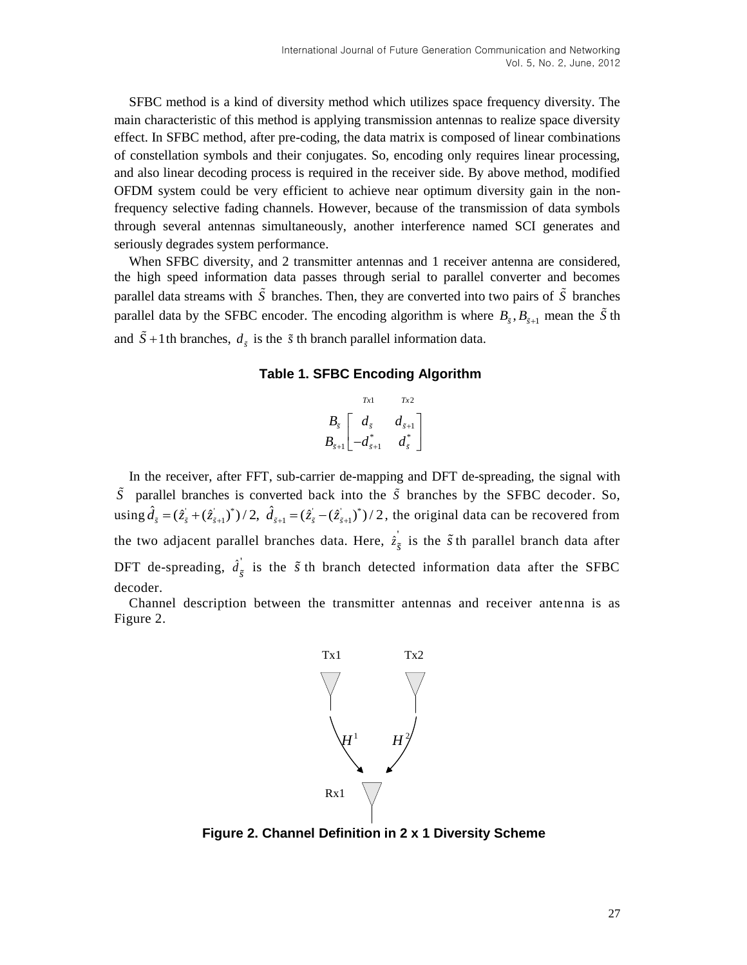SFBC method is a kind of diversity method which utilizes space frequency diversity. The main characteristic of this method is applying transmission antennas to realize space diversity effect. In SFBC method, after pre-coding, the data matrix is composed of linear combinations of constellation symbols and their conjugates. So, encoding only requires linear processing, and also linear decoding process is required in the receiver side. By above method, modified OFDM system could be very efficient to achieve near optimum diversity gain in the nonfrequency selective fading channels. However, because of the transmission of data symbols through several antennas simultaneously, another interference named SCI generates and seriously degrades system performance.

When SFBC diversity, and 2 transmitter antennas and 1 receiver antenna are considered, the high speed information data passes through serial to parallel converter and becomes parallel data streams with  $\tilde{S}$  branches. Then, they are converted into two pairs of  $\tilde{S}$  branches parallel data by the SFBC encoder. The encoding algorithm is where  $B_{\tilde{s}}, B_{\tilde{s}+1}$  mean the  $\tilde{S}$  th and  $\overline{S}$  +1th branches,  $d_{\tilde{s}}$  is the  $\tilde{s}$  th branch parallel information data.

#### **Table 1. SFBC Encoding Algorithm**

$$
B_{\tilde{s}}\begin{bmatrix}rx_1 & rx_2\\ d_{\tilde{s}} & d_{\tilde{s}+1}\\ -d_{\tilde{s}+1}^* & d_{\tilde{s}}^*\end{bmatrix}
$$

In the receiver, after FFT, sub-carrier de-mapping and DFT de-spreading, the signal with *S* parallel branches is converted back into the *S* branches by the SFBC decoder. So, S parallel branches is converted back into<br>using  $\hat{d}_{\tilde{s}} = (\hat{z}_{\tilde{s}} + (\hat{z}_{\tilde{s}+1})^*)/2$ ,  $\hat{d}_{\tilde{s}+1} = (\hat{z}_{\tilde{s}} - (\hat{z}_{\tilde{s}+1})^*)$ trallel branches is converted back into the  $\tilde{S}$  branches by the SFBC decoder. So,<br> $\hat{d}_{\tilde{s}} = (\hat{z}_{\tilde{s}} + (\hat{z}_{\tilde{s}+1})^*)/2$ ,  $\hat{d}_{\tilde{s}+1} = (\hat{z}_{\tilde{s}} - (\hat{z}_{\tilde{s}+1})^*)/2$ , the original data can be recovered from the two adjacent parallel branches data. Here,  $\hat{z}_{\tilde{s}}$  is the  $\tilde{s}$  th parallel branch data after DFT de-spreading,  $\hat{d}_{\tilde{s}}$  is the  $\tilde{s}$  th branch detected information data after the SFBC decoder.

Channel description between the transmitter antennas and receiver antenna is as Figure 2.



**Figure 2. Channel Definition in 2 x 1 Diversity Scheme**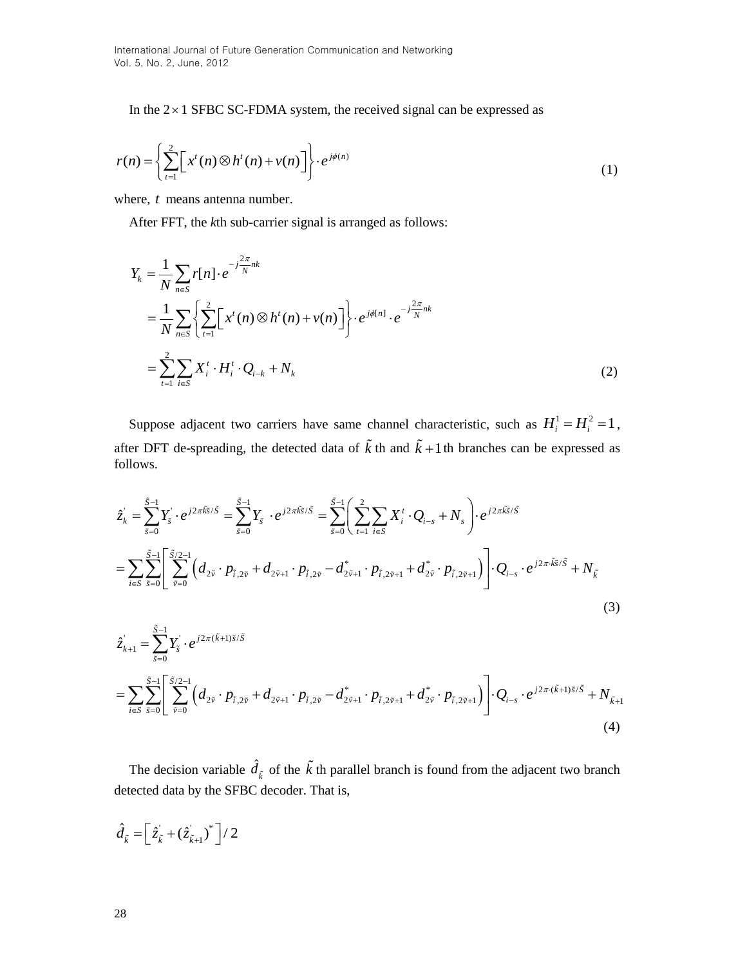In the  $2 \times 1$  SFBC SC-FDMA system, the received signal can be expressed as

$$
r(n) = \left\{ \sum_{t=1}^{2} \left[ x^{t}(n) \otimes h^{t}(n) + v(n) \right] \right\} \cdot e^{j\phi(n)}
$$
\n(1)

where, *t* means antenna number.

After FFT, the *k*th sub-carrier signal is arranged as follows:

$$
Y_{k} = \frac{1}{N} \sum_{n \in S} r[n] \cdot e^{-j\frac{2\pi}{N}nk}
$$
  
=  $\frac{1}{N} \sum_{n \in S} \left\{ \sum_{t=1}^{2} \left[ x^{t}(n) \otimes h^{t}(n) + v(n) \right] \right\} \cdot e^{j\phi[n]} \cdot e^{-j\frac{2\pi}{N}nk}$   
=  $\sum_{t=1}^{2} \sum_{i \in S} X_{i}^{t} \cdot H_{i}^{t} \cdot Q_{i-k} + N_{k}$  (2)

Suppose adjacent two carriers have same channel characteristic, such as  $H_i^1 = H_i^2 = 1$ , follows.

after DFT de-spreading, the detected data of 
$$
\tilde{k}
$$
 th and  $\tilde{k}+1$  th branches can be expressed as follows.  
\n
$$
\hat{z}_{k} = \sum_{\tilde{s}=0}^{\tilde{S}-1} Y_{\tilde{s}} \cdot e^{j2\pi \tilde{k}\tilde{s}/\tilde{S}} = \sum_{\tilde{s}=0}^{\tilde{S}-1} Y_{\tilde{s}} \cdot e^{j2\pi \tilde{k}\tilde{s}/\tilde{S}} = \sum_{\tilde{s}=0}^{\tilde{S}-1} \left( \sum_{t=1}^{2} \sum_{i \in S} X_{i}^{t} \cdot Q_{i-s} + N_{s} \right) \cdot e^{j2\pi \tilde{k}\tilde{s}/\tilde{S}}
$$
\n
$$
= \sum_{i \in S} \sum_{\tilde{s}=0}^{\tilde{S}-1} \left[ \sum_{\tilde{v}=0}^{\tilde{S}/2-1} \left( d_{2\tilde{v}} \cdot p_{\tilde{t},2\tilde{v}} + d_{2\tilde{v}+1} \cdot p_{\tilde{t},2\tilde{v}} - d_{2\tilde{v}+1}^{*} \cdot p_{\tilde{t},2\tilde{v}+1} + d_{2\tilde{v}}^{*} \cdot p_{\tilde{t},2\tilde{v}+1} \right) \cdot Q_{i-s} \cdot e^{j2\pi \tilde{k}\tilde{s}/\tilde{S}} + N_{\tilde{k}}
$$
\n(3)

(3)  
\n
$$
\hat{z}_{k+1} = \sum_{\tilde{s}=0}^{\tilde{S}-1} Y_{\tilde{s}} \cdot e^{j2\pi(\tilde{k}+1)\tilde{s}/\tilde{S}}
$$
\n
$$
= \sum_{i \in S} \sum_{\tilde{s}=0}^{\tilde{S}-1} \left[ \sum_{\tilde{v}=0}^{\tilde{S}/2-1} \left( d_{2\tilde{v}} \cdot p_{\tilde{t},2\tilde{v}} + d_{2\tilde{v}+1} \cdot p_{\tilde{t},2\tilde{v}} - d_{2\tilde{v}+1}^* \cdot p_{\tilde{t},2\tilde{v}+1} + d_{2\tilde{v}}^* \cdot p_{\tilde{t},2\tilde{v}+1} \right) \right] \cdot Q_{i-s} \cdot e^{j2\pi \cdot (\tilde{k}+1)\tilde{s}/\tilde{S}} + N_{\tilde{k}+1}
$$
\n(4)

The decision variable  $\hat{d}_{\tilde{k}}$  of the  $\tilde{k}$  th parallel branch is found from the adjacent two branch detected data by the SFBC decoder. That is,

$$
\hat{d}_{\tilde{k}} = \left[\hat{z}_{\tilde{k}} + (\hat{z}_{\tilde{k}+1})^*\right] / 2
$$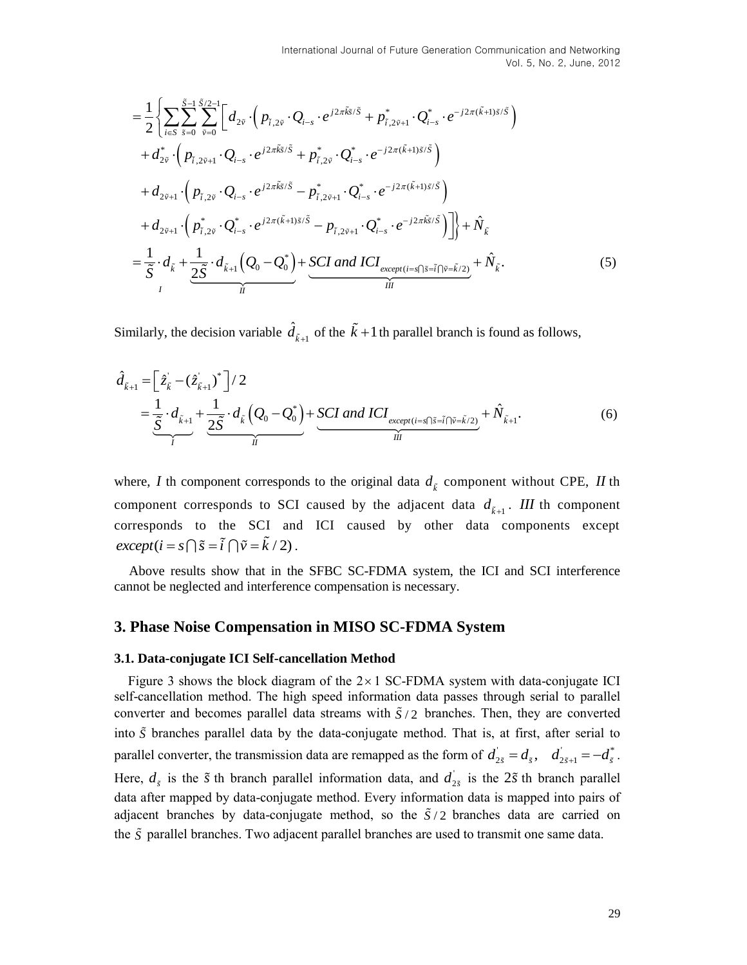International Journal of Future Generation Communication and Networkro  
\n
$$
= \frac{1}{2} \left\{ \sum_{i=5}^{\infty} \sum_{i=0}^{3/2+1} \left[ d_{2s} \cdot (p_{i,2s} \cdot Q_{i-s} \cdot e^{i2\pi \hat{g}t \cdot \hat{S}} + p_{i,2s+1} \cdot Q_{i-s} \cdot e^{-j2\pi (\hat{k}+1)\hat{g}t \cdot \hat{S}} \right] + d_{2s+1} \cdot (p_{i,2s+1} \cdot Q_{i-s} \cdot e^{i2\pi \hat{g}t \cdot \hat{S}} + p_{i,2s+1} \cdot Q_{i-s} \cdot e^{-j2\pi (\hat{k}+1)\hat{g}t \cdot \hat{S}} \right)
$$
\n
$$
+ d_{2s+1} \cdot (p_{i,2s+1} \cdot Q_{i-s} \cdot e^{i2\pi \hat{g}t \cdot \hat{S}} + p_{i,2s+1} \cdot Q_{i-s} \cdot e^{-j2\pi (\hat{k}+1)\hat{g}t \cdot \hat{S}} \right\} + d_{2s+1} \cdot (p_{i,2s} \cdot Q_{i-s} \cdot e^{i2\pi \hat{g}t \cdot \hat{S}} - p_{i,2s+1} \cdot Q_{i-s} \cdot e^{-j2\pi \hat{g}t \cdot \hat{S}} \right)
$$
\n
$$
+ d_{2s+1} \cdot (p_{i,2s} \cdot Q_{i-s} \cdot e^{i2\pi \hat{g}t \cdot \hat{S}} - p_{i,2s+1} \cdot Q_{i-s} \cdot e^{-j2\pi \hat{g}t \cdot \hat{S}} \right) \Big\} + \hat{N}_{\hat{k}}.
$$
\n
$$
= \frac{1}{5} \cdot d_{\hat{k}} + \frac{1}{2.5} \cdot d_{\hat{k}+1} (Q_0 - Q_0^*) + \frac{SCI \text{ and } ICI_{\text{excegr}(t) \to f_1[\hat{s} \to f_1[\hat{s} \to \hat{S}]} + \hat{N}_{\hat{k}+1} \right. \qquad (6)
$$
\n
$$
+ \frac{1}{\hat{k}} \cdot (d_{\hat{k}+1} \frac{1}{\hat{S}} \cdot d_{\hat{k}} \left( Q_0 - Q_0^*) + \frac{SCI \text{ and } ICI_{\text{excegr}(t) \to f_1[\hat
$$

Similarly, the decision variable  $\hat{d}_{\tilde{k}+1}$  of the  $\tilde{k}+1$  th parallel branch is found as follows,

$$
\hat{d}_{\tilde{k}+1} = \left[ \hat{z}_{\tilde{k}} - (\hat{z}_{\tilde{k}+1})^* \right] / 2 \n= \underbrace{\frac{1}{\tilde{S}} \cdot d_{\tilde{k}+1}}_{I} + \underbrace{\frac{1}{2\tilde{S}} \cdot d_{\tilde{k}} \left( Q_0 - Q_0^* \right)}_{II} + \underbrace{SCI \ and \ ICI_{except (i=s \cap \tilde{s} = \tilde{i} \cap \tilde{v} = \tilde{k}/2)}}_{III} + \hat{N}_{\tilde{k}+1}.
$$
\n(6)

where, *I* th component corresponds to the original data  $d_{\tilde{k}}$  component without CPE, *II* th component corresponds to SCI caused by the adjacent data  $d_{\vec{k}+1}$ . *III* th component corresponds to the SCI and ICI caused by other data components except  $except (i = s \cap \tilde{s} = \tilde{i} \cap \tilde{v} = \tilde{k} / 2)$ .

Above results show that in the SFBC SC-FDMA system, the ICI and SCI interference cannot be neglected and interference compensation is necessary.

## **3. Phase Noise Compensation in MISO SC-FDMA System**

#### **3.1. Data-conjugate ICI Self-cancellation Method**

Figure 3 shows the block diagram of the  $2 \times 1$  SC-FDMA system with data-conjugate ICI self-cancellation method. The high speed information data passes through serial to parallel converter and becomes parallel data streams with  $\tilde{S}/2$  branches. Then, they are converted into *S* branches parallel data by the data-conjugate method. That is, at first, after serial to parallel converter, the transmission data are remapped as the form of  $d_{2\tilde{s}} = d_{\tilde{s}}$ ,  $d_{2\tilde{s}+1} = -d_{\tilde{s}}^*$ . Here,  $d_{\tilde{s}}$  is the  $\tilde{s}$  th branch parallel information data, and  $d'_{2\tilde{s}}$  is the  $2\tilde{s}$  th branch parallel data after mapped by data-conjugate method. Every information data is mapped into pairs of adjacent branches by data-conjugate method, so the  $\tilde{S}/2$  branches data are carried on the *S* parallel branches. Two adjacent parallel branches are used to transmit one same data.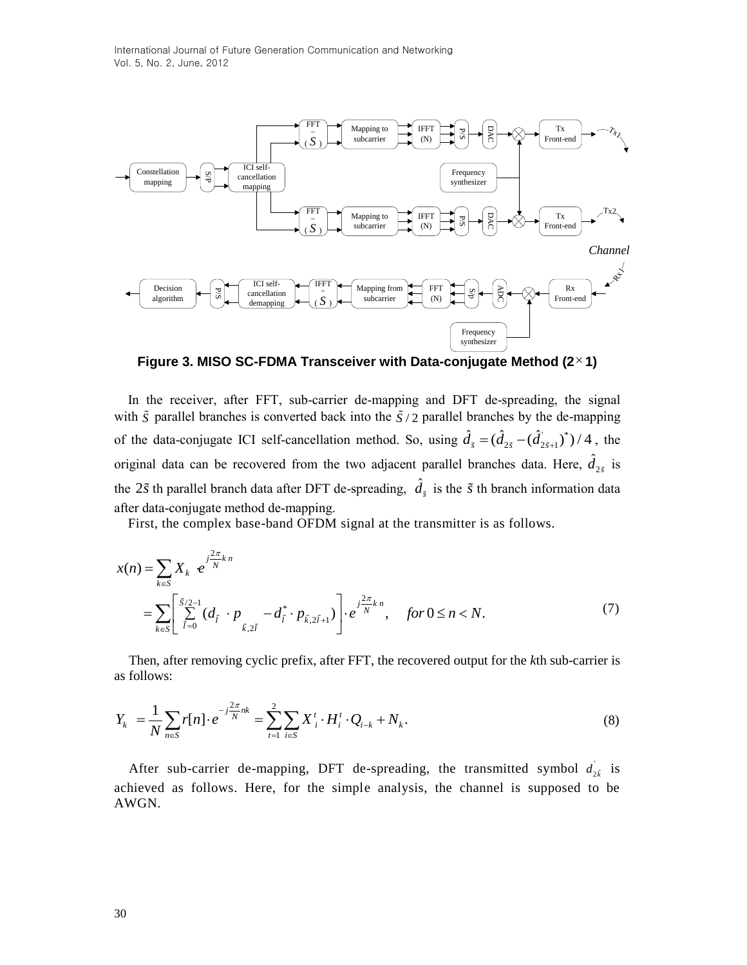

**Figure 3. MISO SC-FDMA Transceiver with Data-conjugate Method (2 1)**

In the receiver, after FFT, sub-carrier de-mapping and DFT de-spreading, the signal with  $\tilde{S}$  parallel branches is converted back into the  $\tilde{S}/2$  parallel branches by the de-mapping of the data-conjugate ICI self-cancellation method. So, using  $\hat{d}_{\tilde{s}} = (\hat{d}_{2\tilde{s}} - (\hat{d}_{2\tilde{s}+1})^*)$  $\hat{d}_{\tilde{s}} = (\hat{d}_{2\tilde{s}} - (\hat{d}_{2\tilde{s}+1})^*)/4$ , the original data can be recovered from the two adjacent parallel branches data. Here,  $\hat{d}_{2\tilde{s}}$  is the 2 $\tilde{s}$  th parallel branch data after DFT de-spreading,  $\hat{d}_{\tilde{s}}$  is the  $\tilde{s}$  th branch information data after data-conjugate method de-mapping.

First, the complex base-band OFDM signal at the transmitter is as follows.  
\n
$$
x(n) = \sum_{k \in S} X_k e^{j\frac{2\pi}{N}kn}
$$
\n
$$
= \sum_{k \in S} \left[ \sum_{i=0}^{S/2-1} (d_{\tilde{i}} \cdot p_{\tilde{k}, 2\tilde{i}} - d_{\tilde{i}}^* \cdot p_{\tilde{k}, 2\tilde{i}+1}) \right] \cdot e^{j\frac{2\pi}{N}kn}, \quad \text{for } 0 \le n < N. \tag{7}
$$

Then, after removing cyclic prefix, after FFT, the recovered output for the *k*th sub-carrier is as follows:

as follows:  
\n
$$
Y_{k} = \frac{1}{N} \sum_{n \in S} r[n] \cdot e^{-j\frac{2\pi}{N}nk} = \sum_{t=1}^{2} \sum_{i \in S} X_{i}^{t} \cdot H_{i}^{t} \cdot Q_{i-k} + N_{k}.
$$
\n(8)

After sub-carrier de-mapping, DFT de-spreading, the transmitted symbol  $d_{2\tilde{k}}$  is achieved as follows. Here, for the simple analysis, the channel is supposed to be AWGN.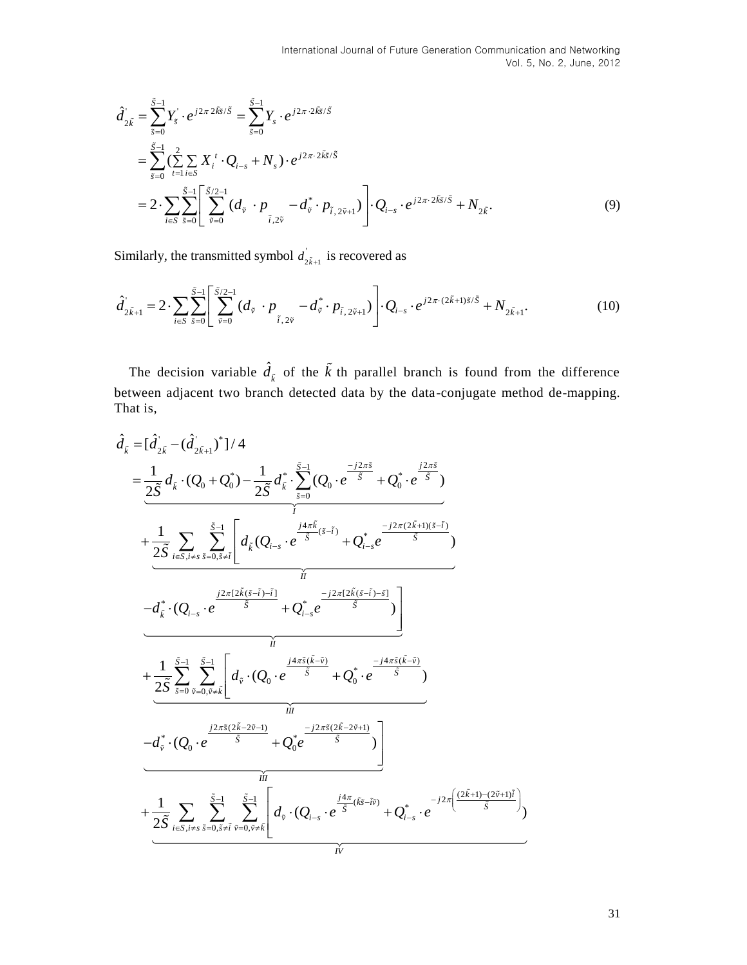$$
\hat{d}_{2\tilde{k}} = \sum_{\tilde{s}=0}^{\tilde{S}-1} Y_{\tilde{s}} \cdot e^{j2\pi 2\tilde{k}\tilde{s}/\tilde{S}} = \sum_{\tilde{s}=0}^{\tilde{S}-1} Y_{s} \cdot e^{j2\pi 2\tilde{k}\tilde{s}/\tilde{S}}
$$
\n
$$
= \sum_{\tilde{s}=0}^{\tilde{S}-1} \left( \sum_{t=1}^{2} \sum_{i \in S} X_{i}^{t} \cdot Q_{i-s} + N_{s} \right) \cdot e^{j2\pi 2\tilde{k}\tilde{s}/\tilde{S}}
$$
\n
$$
= 2 \cdot \sum_{i \in S} \sum_{\tilde{s}=0}^{\tilde{S}-1} \left[ \sum_{\tilde{v}=0}^{\tilde{S}/2-1} (d_{\tilde{v}} \cdot p_{\tilde{s},2\tilde{v}} - d_{\tilde{v}}^{*} \cdot p_{\tilde{t},2\tilde{v}+1}) \right] \cdot Q_{i-s} \cdot e^{j2\pi 2\tilde{k}\tilde{s}/\tilde{S}} + N_{2\tilde{k}}.
$$
\n(9)

Similarly, the transmitted symbol  $d_{2\tilde{k}+1}$  $d_{2\tilde{k}+1}$  is recovered as

Similarly, the transmitted symbol 
$$
d_{2\tilde{k}+1}
$$
 is recovered as  
\n
$$
\hat{d}_{2\tilde{k}+1} = 2 \cdot \sum_{i \in S} \sum_{\tilde{s}=0}^{\tilde{S}-1} \left[ \sum_{\tilde{v}=0}^{\tilde{S}/2-1} (d_{\tilde{v}} \cdot p_{\tilde{i},2\tilde{v}} - d_{\tilde{v}}^{*} \cdot p_{\tilde{i},2\tilde{v}+1}) \right] \cdot Q_{i-s} \cdot e^{j2\pi \cdot (2\tilde{k}+1)\tilde{s}/\tilde{S}} + N_{2\tilde{k}+1}.
$$
\n(10)

The decision variable  $\hat{d}_{\tilde{k}}$  of the  $\tilde{k}$  th parallel branch is found from the difference between adjacent two branch detected data by the data-conjugate method de-mapping.

That is,  
\n
$$
\hat{d}_{\tilde{k}} = [\hat{d}_{2\tilde{k}}^{'} - (\hat{d}_{2\tilde{k}+1}^{'} )^{\dagger} ] / 4
$$
\n
$$
= \underbrace{\frac{1}{2\tilde{S}} d_{\tilde{k}} \cdot (Q_{0} + Q_{0}^{*}) - \frac{1}{2\tilde{S}} d_{\tilde{k}}^{*} \cdot \sum_{\tilde{s}=0}^{\tilde{S}-1} (Q_{0} \cdot e^{-\frac{j2\pi \tilde{S}}{\tilde{S}}} + Q_{0}^{*} \cdot e^{-\frac{j2\pi \tilde{S}}{\tilde{S}}} )
$$
\n
$$
+ \underbrace{\frac{1}{2\tilde{S}} \sum_{i \in S, i \neq s} \sum_{\tilde{s}=0, \tilde{s} \neq \tilde{i}}^{\tilde{S}-1} \left[ d_{\tilde{k}} (Q_{i-s} \cdot e^{-\frac{j4\pi \tilde{k}}{\tilde{S}} (\tilde{s}-\tilde{i})} + Q_{i-s}^{*} e^{-\frac{j2\pi (2\tilde{k}+1)(\tilde{s}-\tilde{i})}{\tilde{S}}} ) \right]
$$
\n
$$
- d_{\tilde{k}}^{*} \cdot (Q_{i-s} \cdot e^{-\frac{j2\pi (2\tilde{k}(\tilde{s}-\tilde{i})-\tilde{i})}{\tilde{S}}} + Q_{i-s}^{*} e^{-\frac{j2\pi (2\tilde{k}(\tilde{s}-\tilde{i})-\tilde{s})}{\tilde{S}}} )
$$
\n
$$
+ \underbrace{\frac{1}{2\tilde{S}} \sum_{\tilde{s}=0}^{\tilde{S}-1} \sum_{\tilde{v}=0, \tilde{v} \neq \tilde{k}}^{\tilde{S}-1} \left[ d_{\tilde{v}} \cdot (Q_{0} \cdot e^{-\frac{j4\pi \tilde{s}(\tilde{k}-\tilde{v})}{\tilde{S}}} + Q_{0}^{*} \cdot e^{-\frac{j4\pi \tilde{s}(\tilde{k}-\tilde{v})}{\tilde{S}}} ) \right]
$$
\n
$$
+ \underbrace{\frac{1}{2\tilde{S}} \sum_{i \in S, i \neq s} \sum_{\tilde{s}=0, \tilde{s} \neq \tilde{i}}^{\tilde{S}-1} \sum_{\tilde{v}=0, \tilde{v} \neq \tilde{k}}
$$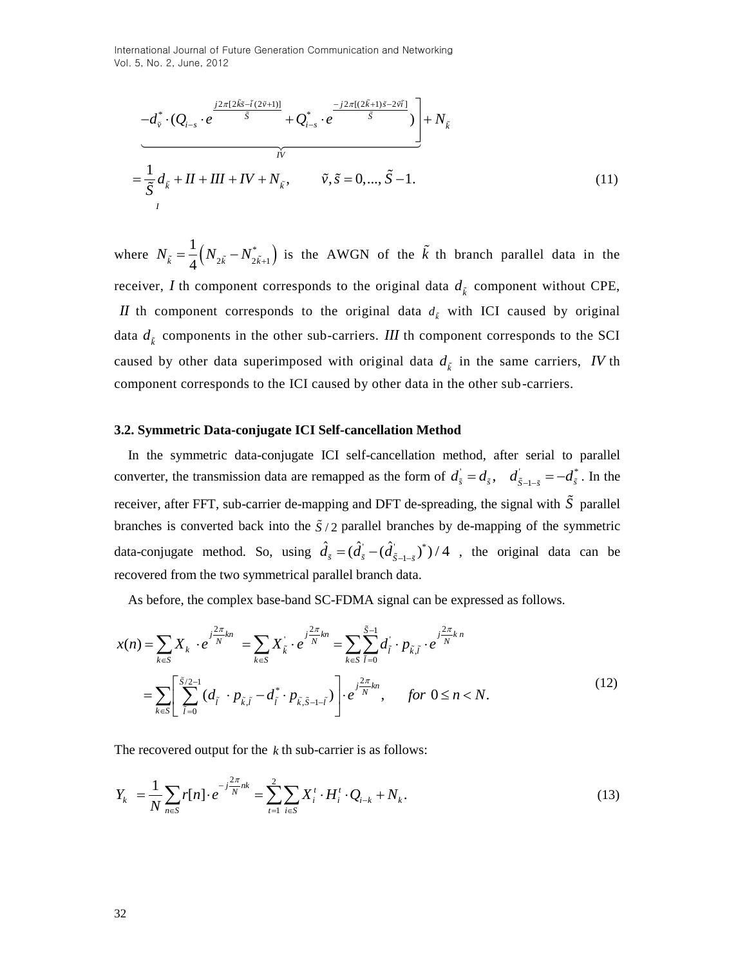International Journal of Future Generation Communication and Networking Vol. 5, No. 2, June, 2012

$$
-d_{\tilde{v}}^{*} \cdot (Q_{i-s} \cdot e^{\frac{j2\pi [2\tilde{k}\tilde{s}-\tilde{t}(2\tilde{v}+1)]}{\tilde{S}}} + Q_{i-s}^{*} \cdot e^{\frac{-j2\pi [(2\tilde{k}+1)\tilde{s}-2\tilde{v}\tilde{i}]}{\tilde{S}}}\bigg) + N_{\tilde{k}}
$$
  
= 
$$
\frac{1}{\tilde{S}}d_{\tilde{k}} + II + III + IV + N_{\tilde{k}}, \qquad \tilde{v}, \tilde{s} = 0, ..., \tilde{S} - 1.
$$
 (11)

where  $N_{\tilde{k}} = \frac{1}{4} (N_{2\tilde{k}} - N_{2\tilde{k}+1}^*)$ 1  $N_{\tilde{k}} = \frac{1}{4} (N_{2\tilde{k}} - N_{2\tilde{k}+1}^*)$  is the AWGN of the  $\tilde{k}$  th branch parallel data in the receiver, *I* th component corresponds to the original data  $d_{\vec{k}}$  component without CPE,

*II* th component corresponds to the original data  $d<sub>k</sub>$  with ICI caused by original data  $d_{\vec{k}}$  components in the other sub-carriers. *III* th component corresponds to the SCI caused by other data superimposed with original data  $d_{\tilde{k}}$  in the same carriers, *IV* th component corresponds to the ICI caused by other data in the other sub-carriers.

#### **3.2. Symmetric Data-conjugate ICI Self-cancellation Method**

In the symmetric data-conjugate ICI self-cancellation method, after serial to parallel converter, the transmission data are remapped as the form of  $d_{\tilde{x}} = d_{\tilde{x}}$ ,  $d_{\tilde{x}-1-\tilde{x}} = -d_{\tilde{x}}^*$  $d_{\tilde{s}} = d_{\tilde{s}}, \quad d_{\tilde{S}-1-\tilde{s}} = -d_{\tilde{s}}^*$ . In the receiver, after FFT, sub-carrier de-mapping and DFT de-spreading, the signal with *S* parallel branches is converted back into the  $\tilde{S}/2$  parallel branches by de-mapping of the symmetric data-conjugate method. So, using  $\hat{d}_{\tilde{s}} = (\hat{d}_{\tilde{s}} - \hat{d}_{\tilde{g}-1,\tilde{s}})^*$  $\hat{d}_{\tilde{s}} = (\hat{d}_{\tilde{s}} - (\hat{d}_{\tilde{S}-1-\tilde{s}})^*)/4$ , the original data can be recovered from the two symmetrical parallel branch data.

As before, the complex base-band SC-FDMA signal can be expressed as follows.

As before, the complex base-band SC-FDMA signal can be expressed as follows.  
\n
$$
x(n) = \sum_{k \in S} X_k \cdot e^{j\frac{2\pi}{N}kn} = \sum_{k \in S} X_{\vec{k}} \cdot e^{j\frac{2\pi}{N}kn} = \sum_{k \in S} \sum_{\tilde{l}=0}^{\tilde{S}-1} d_{\tilde{l}} \cdot p_{\tilde{k},\tilde{l}} \cdot e^{j\frac{2\pi}{N}kn}
$$
\n
$$
= \sum_{k \in S} \left[ \sum_{\tilde{l}=0}^{\tilde{S}/2-1} (d_{\tilde{l}} \cdot p_{\tilde{k},\tilde{l}} - d_{\tilde{l}}^{*} \cdot p_{\tilde{k},\tilde{S}-1-\tilde{l}}) \right] \cdot e^{j\frac{2\pi}{N}kn}, \quad \text{for } 0 \le n < N. \tag{12}
$$

The recovered output for the *k* th sub-carrier is as follows:  
\n
$$
Y_k = \frac{1}{N} \sum_{n \in S} r[n] \cdot e^{-j\frac{2\pi}{N}nk} = \sum_{i=1}^{2} \sum_{i \in S} X_i^t \cdot H_i^t \cdot Q_{i-k} + N_k.
$$
\n(13)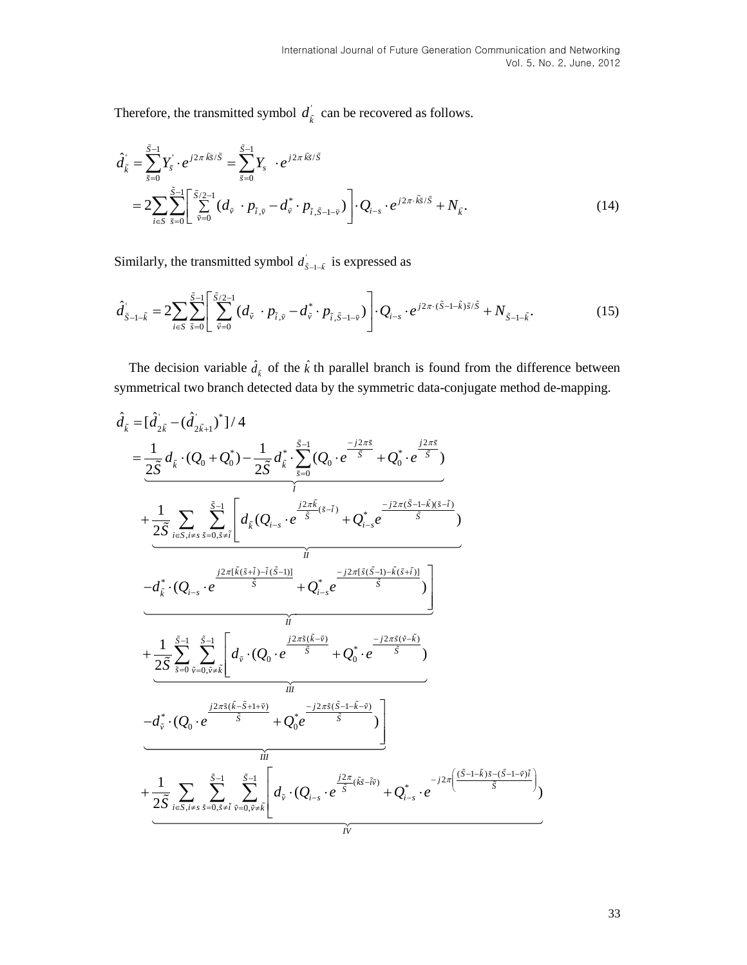Therefore, the transmitted symbol  $d_{\vec{k}}$  can be recovered as follows.

$$
\hat{d}_{\tilde{k}} = \sum_{\tilde{s}=0}^{\tilde{S}-1} Y_{\tilde{s}} \cdot e^{j2\pi \tilde{k}\tilde{s}/\tilde{S}} = \sum_{\tilde{s}=0}^{\tilde{S}-1} Y_{s} \cdot e^{j2\pi \tilde{k}\tilde{s}/\tilde{S}}
$$
  
= 
$$
2 \sum_{i \in S} \sum_{\tilde{s}=0}^{\tilde{S}-1} \left[ \sum_{\tilde{v}=0}^{\tilde{S}/2-1} (d_{\tilde{v}} \cdot p_{\tilde{i},\tilde{v}} - d_{\tilde{v}}^{*} \cdot p_{\tilde{i},\tilde{S}-1-\tilde{v}}) \right] \cdot Q_{i-s} \cdot e^{j2\pi \cdot \tilde{k}\tilde{s}/\tilde{S}} + N_{\tilde{k}}.
$$
 (14)

Similarly, the transmitted symbol  $d_{\tilde{S}-1-\tilde{k}}$  is expressed as

Similarly, the transmitted symbol 
$$
d_{\tilde{S}-1-\tilde{k}}
$$
 is expressed as  
\n
$$
\hat{d}_{\tilde{S}-1-\tilde{k}} = 2 \sum_{i \in S} \sum_{\tilde{s}=0}^{\tilde{S}-1} \left[ \sum_{\tilde{v}=0}^{\tilde{S}/2-1} (d_{\tilde{v}} \cdot p_{\tilde{i},\tilde{v}} - d_{\tilde{v}}^* \cdot p_{\tilde{i},\tilde{S}-1-\tilde{v}}) \right] \cdot Q_{i-s} \cdot e^{j2\pi \cdot (\tilde{S}-1-\tilde{k})\tilde{s}/\tilde{S}} + N_{\tilde{S}-1-\tilde{k}}.
$$
\n(15)

The decision variable  $\hat{d}_{\hat{k}}$  of the  $\hat{k}$  th parallel branch is found from the difference between

symmetrical two branch detected data by the symmetric data-conjugate method de-mapping.  
\n
$$
\hat{d}_{\vec{k}} = [\hat{d}_{2\vec{k}} \cdot (\hat{d}_{2\vec{k}+1})^*]/4
$$
\n
$$
= \frac{1}{2\vec{S}} d_{\vec{k}} \cdot (\hat{Q}_{0} + \hat{Q}_{0}^*) - \frac{1}{2\vec{S}} d_{\vec{k}}^* \cdot \sum_{s=0}^{\vec{S}-1} (\hat{Q}_{0} \cdot e^{-\frac{j2\pi \vec{s}}{\vec{S}}} + \hat{Q}_{0}^* \cdot e^{-\frac{j2\pi \vec{s}}{\vec{S}}})
$$
\n
$$
+ \frac{1}{2\vec{S}} \sum_{i \in S, i \neq s} \sum_{s=0, s \neq \vec{i}}^{\vec{S}-1} \left[ d_{\vec{k}} (Q_{i-s} \cdot e^{-\frac{j2\pi \vec{k}}{\vec{S}} (s-i)} + Q_{i-s}^* e^{-\frac{j2\pi (\vec{S}-1) - \vec{k}(\vec{S}+1)}{\vec{S}}} ) \right]
$$
\n
$$
- d_{\vec{k}}^* \cdot (Q_{i-s} \cdot e^{-\frac{j2\pi (\vec{k}(\vec{s}+i) - \vec{i}(\vec{S}-1))}{\vec{S}}} + Q_{i-s}^* e^{-\frac{j2\pi (\vec{s}(\vec{S}-1) - \vec{k}(\vec{s}+i))}{\vec{S}}} )
$$
\n
$$
+ \frac{1}{2\vec{S}} \sum_{s=0}^{\vec{S}-1} \sum_{\vec{v}=(\vec{v},\vec{v},\vec{k})}^{\vec{v}} \left[ d_{\vec{v}} \cdot (Q_{0} \cdot e^{-\frac{j2\pi \vec{s}(\vec{k}-\vec{v})}{\vec{S}}} + Q_{0}^* \cdot e^{-\frac{j2\pi \vec{s}(\vec{v}-\vec{k}-\vec{v})}{\vec{S}}} ) \right]
$$
\n
$$
- d_{\vec{v}}^* \cdot (Q_{0} \cdot e^{-\frac{j2\pi \vec{s}(\vec{k}-\vec{S}+1+\vec{v})}{\vec{S}}} + Q_{0}^* e^{-\frac{j2\pi \vec{s}(\vec{S}-1-\vec{k}-\vec{v})}{\vec{S}}} )
$$
\n
$$
+ \frac{1}{2\vec{S}} \sum_{i \in S, i \neq s} \sum_{s=0, s \ne
$$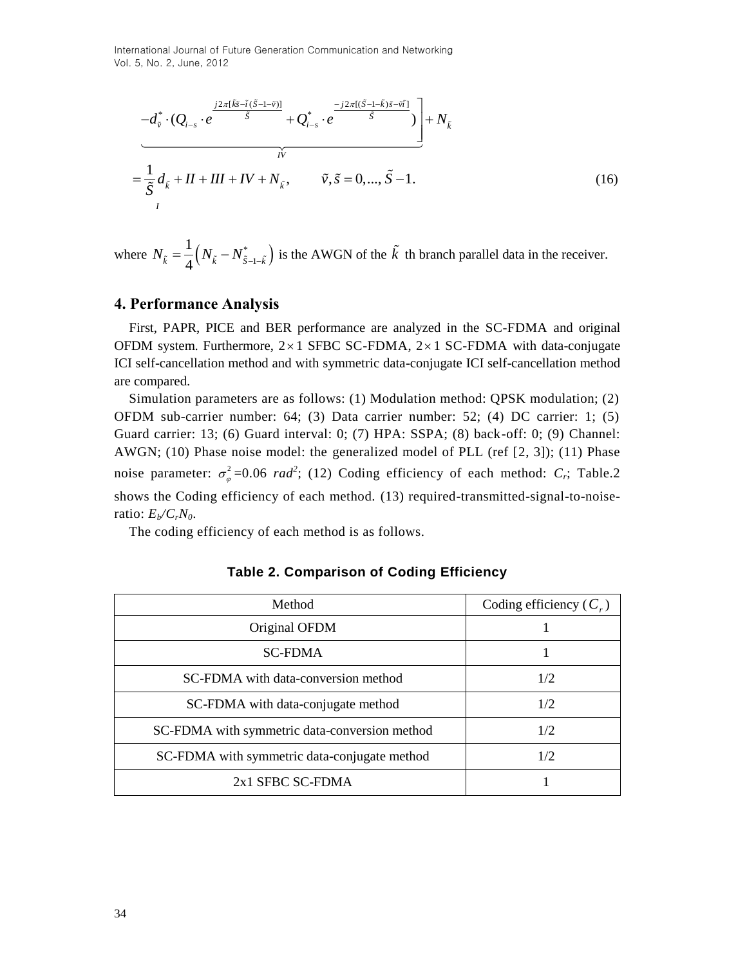International Journal of Future Generation Communication and Networking Vol. 5, No. 2, June, 2012

$$
-d_{\tilde{v}}^* \cdot (Q_{i-s} \cdot e^{\frac{j2\pi[\tilde{k}\tilde{s}-\tilde{t}(\tilde{S}-1-\tilde{v})]}{\tilde{S}}} + Q_{i-s}^* \cdot e^{\frac{-j2\pi[(\tilde{S}-1-\tilde{k})\tilde{s}-\tilde{v}\tilde{i}]}{\tilde{S}}}}\bigg] + N_{\tilde{k}}
$$
  
= 
$$
\frac{1}{\tilde{S}}d_{\tilde{k}} + II + III + IV + N_{\tilde{k}}, \qquad \tilde{v}, \tilde{s} = 0, ..., \tilde{S}-1.
$$
 (16)

where  $N_{\tilde{k}} = \frac{1}{4} (N_{\tilde{k}} - N_{\tilde{S}-1-\tilde{k}}^*)$ 1 1  $N_{\tilde{k}} = \frac{1}{4} (N_{\tilde{k}} - N_{\tilde{S}-1-\tilde{k}}^*)$  is the AWGN of the  $\tilde{k}$  th branch parallel data in the receiver.

## **4. Performance Analysis**

First, PAPR, PICE and BER performance are analyzed in the SC-FDMA and original OFDM system. Furthermore,  $2 \times 1$  SFBC SC-FDMA,  $2 \times 1$  SC-FDMA with data-conjugate ICI self-cancellation method and with symmetric data-conjugate ICI self-cancellation method are compared.

Simulation parameters are as follows: (1) Modulation method: QPSK modulation; (2) OFDM sub-carrier number: 64; (3) Data carrier number: 52; (4) DC carrier: 1; (5) Guard carrier: 13; (6) Guard interval: 0; (7) HPA: SSPA; (8) back-off: 0; (9) Channel: AWGN; (10) Phase noise model: the generalized model of PLL (ref [2, 3]); (11) Phase noise parameter:  $\sigma_a^2$  $\sigma_{\varphi}^2$ =0.06 *rad*<sup>2</sup>; (12) Coding efficiency of each method: *C<sub>r</sub>*; Table.2 shows the Coding efficiency of each method. (13) required-transmitted-signal-to-noiseratio:  $E_b/C_rN_0$ .

The coding efficiency of each method is as follows.

| Method                                        | Coding efficiency $(C_r)$ |
|-----------------------------------------------|---------------------------|
| Original OFDM                                 |                           |
| <b>SC-FDMA</b>                                |                           |
| SC-FDMA with data-conversion method           | 1/2                       |
| SC-FDMA with data-conjugate method            | 1/2                       |
| SC-FDMA with symmetric data-conversion method | 1/2                       |
| SC-FDMA with symmetric data-conjugate method  | 1/2                       |
| 2x1 SFBC SC-FDMA                              |                           |

|  | Table 2. Comparison of Coding Efficiency |  |  |
|--|------------------------------------------|--|--|
|--|------------------------------------------|--|--|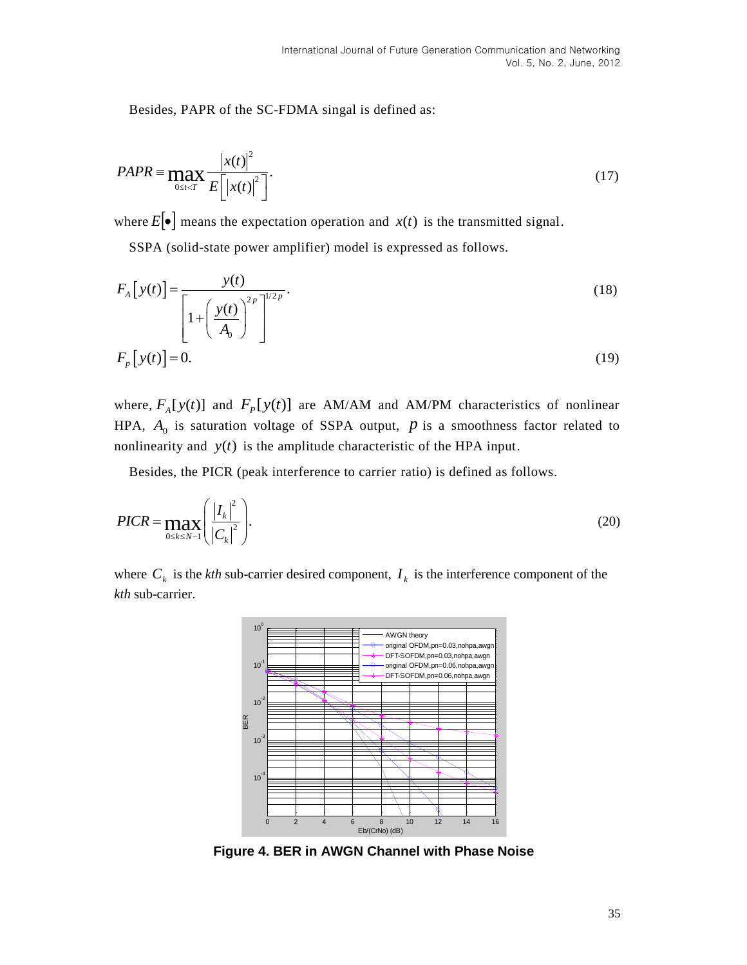Besides, PAPR of the SC-FDMA singal is defined as:

$$
PAPR \equiv \max_{0 \le t < T} \frac{|x(t)|^2}{E\left[|x(t)|^2\right]}.\tag{17}
$$

where  $E[\bullet]$  means the expectation operation and  $x(t)$  is the transmitted signal.

SSPA (solid-state power amplifier) model is expressed as follows.

$$
F_A\left[y(t)\right] = \frac{y(t)}{\left[1 + \left(\frac{y(t)}{A_0}\right)^{2p}\right]^{1/2p}}.
$$
\n
$$
F_p\left[y(t)\right] = 0.
$$
\n(19)

where,  $F_A[y(t)]$  and  $F_P[y(t)]$  are AM/AM and AM/PM characteristics of nonlinear HPA,  $A_0$  is saturation voltage of SSPA output,  $p$  is a smoothness factor related to nonlinearity and  $y(t)$  is the amplitude characteristic of the HPA input.

Besides, the PICR (peak interference to carrier ratio) is defined as follows.

$$
PICR = \max_{0 \le k \le N-1} \left( \frac{|I_k|^2}{|C_k|^2} \right). \tag{20}
$$

where  $C_k$  is the *kth* sub-carrier desired component,  $I_k$  is the interference component of the *kth* sub-carrier.



**Figure 4. BER in AWGN Channel with Phase Noise**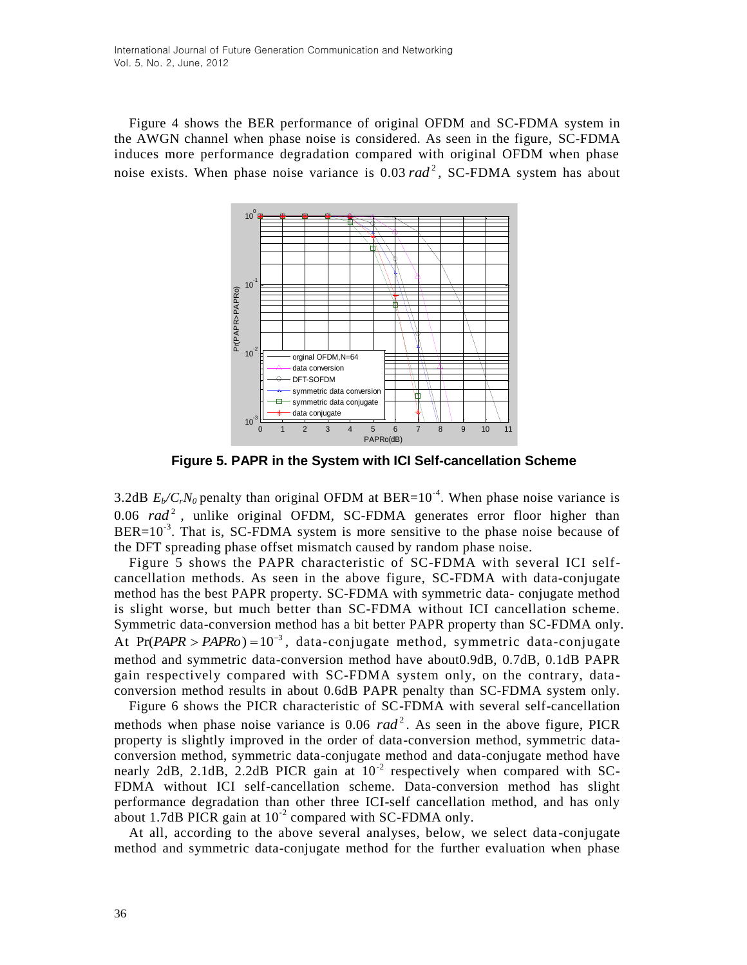Figure 4 shows the BER performance of original OFDM and SC-FDMA system in the AWGN channel when phase noise is considered. As seen in the figure, SC-FDMA induces more performance degradation compared with original OFDM when phase noise exists. When phase noise variance is 0.03 rad<sup>2</sup>, SC-FDMA system has about



**Figure 5. PAPR in the System with ICI Self-cancellation Scheme**

3.2dB  $E_b/C_rN_0$  penalty than original OFDM at BER=10<sup>-4</sup>. When phase noise variance is 0.06 rad<sup>2</sup>, unlike original OFDM, SC-FDMA generates error floor higher than  $BER=10^{-3}$ . That is, SC-FDMA system is more sensitive to the phase noise because of the DFT spreading phase offset mismatch caused by random phase noise.

Figure 5 shows the PAPR characteristic of SC-FDMA with several ICI selfcancellation methods. As seen in the above figure, SC-FDMA with data-conjugate method has the best PAPR property. SC-FDMA with symmetric data- conjugate method is slight worse, but much better than SC-FDMA without ICI cancellation scheme. Symmetric data-conversion method has a bit better PAPR property than SC-FDMA only. At  $Pr(PAPR > PAPRo) = 10^{-3}$ , data-conjugate method, symmetric data-conjugate method and symmetric data-conversion method have about0.9dB, 0.7dB, 0.1dB PAPR gain respectively compared with SC-FDMA system only, on the contrary, dataconversion method results in about 0.6dB PAPR penalty than SC-FDMA system only.

Figure 6 shows the PICR characteristic of SC-FDMA with several self-cancellation methods when phase noise variance is  $0.06$   $rad<sup>2</sup>$ . As seen in the above figure, PICR property is slightly improved in the order of data-conversion method, symmetric dataconversion method, symmetric data-conjugate method and data-conjugate method have nearly 2dB, 2.1dB, 2.2dB PICR gain at 10<sup>-2</sup> respectively when compared with SC-FDMA without ICI self-cancellation scheme. Data-conversion method has slight performance degradation than other three ICI-self cancellation method, and has only about 1.7dB PICR gain at  $10^{-2}$  compared with SC-FDMA only.

At all, according to the above several analyses, below, we select data -conjugate method and symmetric data-conjugate method for the further evaluation when phase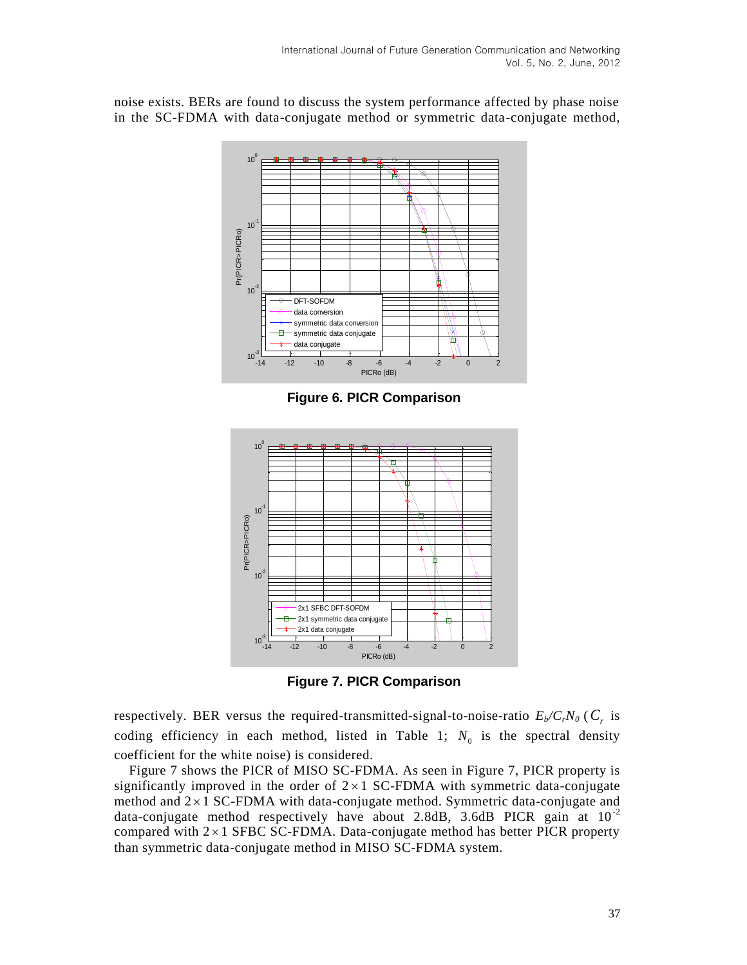noise exists. BERs are found to discuss the system performance affected by phase noise in the SC-FDMA with data-conjugate method or symmetric data-conjugate method,



**Figure 6. PICR Comparison**



**Figure 7. PICR Comparison**

respectively. BER versus the required-transmitted-signal-to-noise-ratio *Eb/CrN0* ( *Cr* is coding efficiency in each method, listed in Table 1;  $N_0$  is the spectral density coefficient for the white noise) is considered.

Figure 7 shows the PICR of MISO SC-FDMA. As seen in Figure 7, PICR property is significantly improved in the order of  $2 \times 1$  SC-FDMA with symmetric data-conjugate method and  $2 \times 1$  SC-FDMA with data-conjugate method. Symmetric data-conjugate and data-conjugate method respectively have about 2.8dB, 3.6dB PICR gain at  $10^{-2}$ compared with  $2 \times 1$  SFBC SC-FDMA. Data-conjugate method has better PICR property than symmetric data-conjugate method in MISO SC-FDMA system.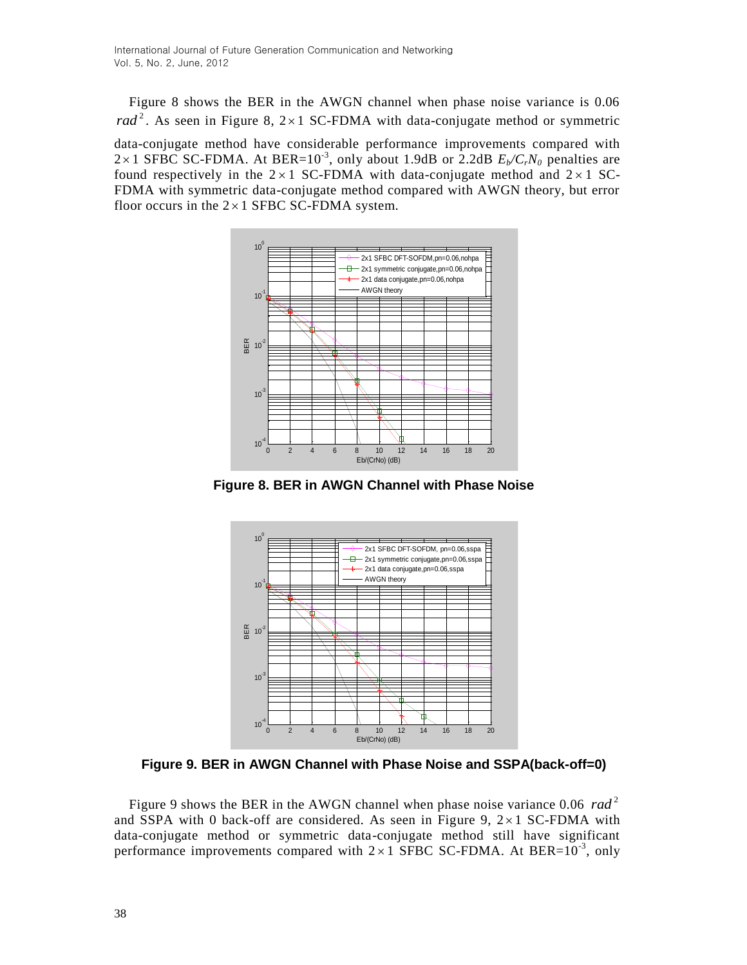Figure 8 shows the BER in the AWGN channel when phase noise variance is 0.06 rad<sup>2</sup>. As seen in Figure 8,  $2 \times 1$  SC-FDMA with data-conjugate method or symmetric

data-conjugate method have considerable performance improvements compared with  $2 \times 1$  SFBC SC-FDMA. At BER=10<sup>-3</sup>, only about 1.9dB or 2.2dB  $E_b/C_rN_0$  penalties are found respectively in the  $2 \times 1$  SC-FDMA with data-conjugate method and  $2 \times 1$  SC-FDMA with symmetric data-conjugate method compared with AWGN theory, but error floor occurs in the  $2 \times 1$  SFBC SC-FDMA system.



**Figure 8. BER in AWGN Channel with Phase Noise**



**Figure 9. BER in AWGN Channel with Phase Noise and SSPA(back-off=0)**

Figure 9 shows the BER in the AWGN channel when phase noise variance  $0.06$   $rad<sup>2</sup>$ and SSPA with 0 back-off are considered. As seen in Figure 9,  $2 \times 1$  SC-FDMA with data-conjugate method or symmetric data-conjugate method still have significant performance improvements compared with  $2 \times 1$  SFBC SC-FDMA. At BER= $10^{-3}$ , only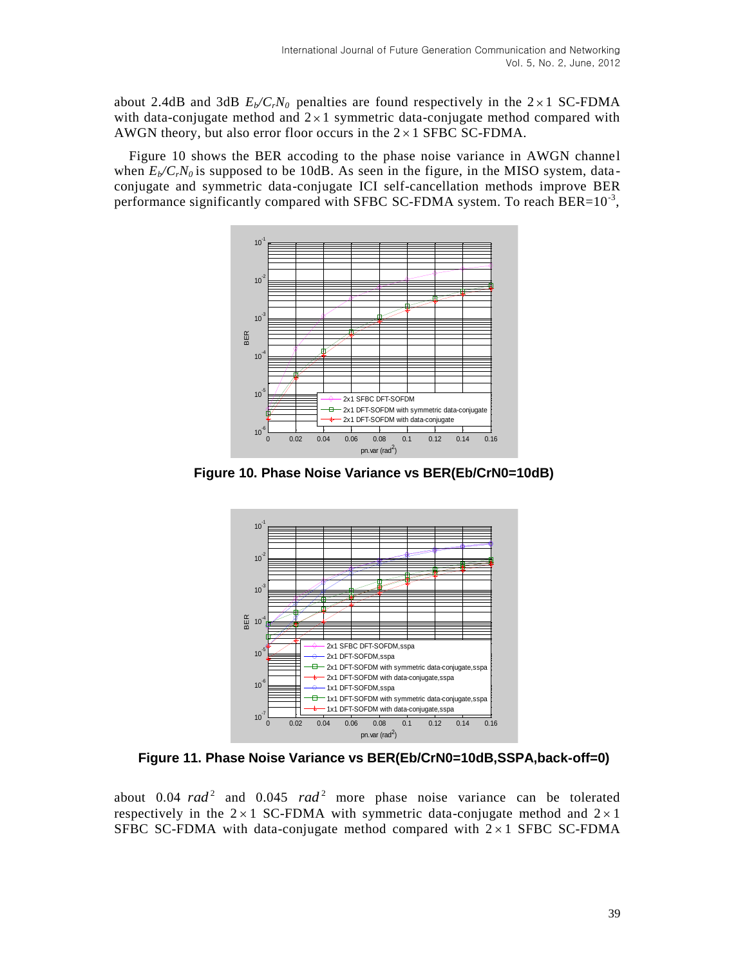about 2.4dB and 3dB  $E_b/C_rN_0$  penalties are found respectively in the  $2 \times 1$  SC-FDMA with data-conjugate method and  $2 \times 1$  symmetric data-conjugate method compared with AWGN theory, but also error floor occurs in the  $2 \times 1$  SFBC SC-FDMA.

Figure 10 shows the BER accoding to the phase noise variance in AWGN channel when  $E_b/C_cN_0$  is supposed to be 10dB. As seen in the figure, in the MISO system, dataconjugate and symmetric data-conjugate ICI self-cancellation methods improve BER performance significantly compared with SFBC SC-FDMA system. To reach BER= $10^{-3}$ ,



**Figure 10. Phase Noise Variance vs BER(Eb/CrN0=10dB)**



**Figure 11. Phase Noise Variance vs BER(Eb/CrN0=10dB,SSPA,back-off=0)**

about  $0.04$   $rad^2$  and  $0.045$   $rad^2$  more phase noise variance can be tolerated respectively in the  $2 \times 1$  SC-FDMA with symmetric data-conjugate method and  $2 \times 1$ SFBC SC-FDMA with data-conjugate method compared with  $2 \times 1$  SFBC SC-FDMA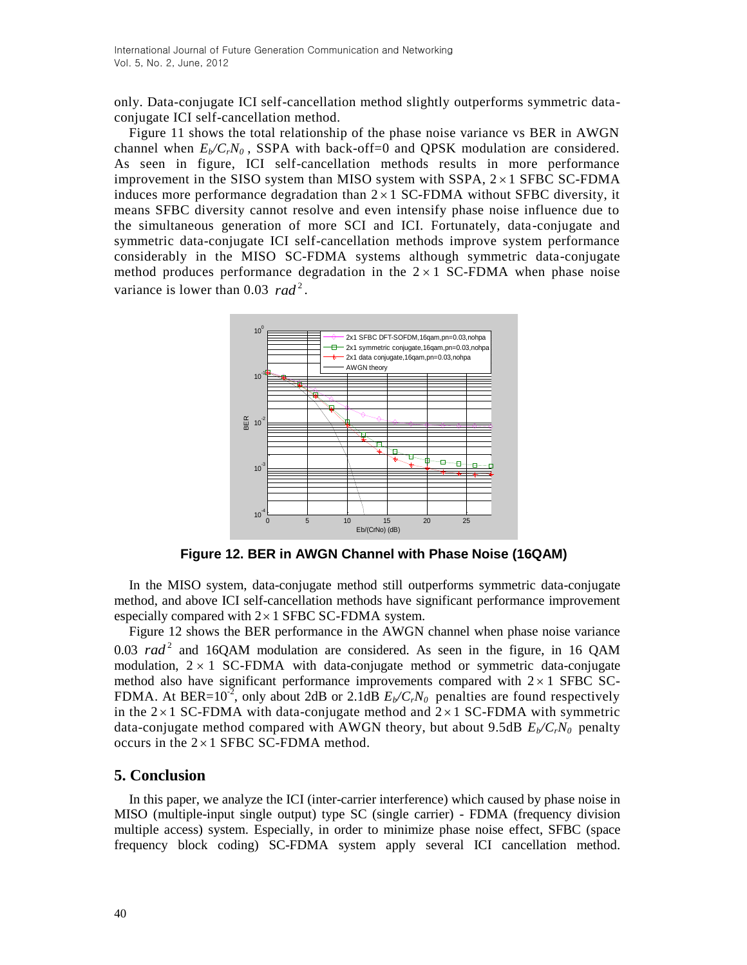only. Data-conjugate ICI self-cancellation method slightly outperforms symmetric dataconjugate ICI self-cancellation method.

Figure 11 shows the total relationship of the phase noise variance vs BER in AWGN channel when  $E_b/C_cN_0$ , SSPA with back-off=0 and OPSK modulation are considered. As seen in figure, ICI self-cancellation methods results in more performance improvement in the SISO system than MISO system with SSPA,  $2 \times 1$  SFBC SC-FDMA induces more performance degradation than  $2 \times 1$  SC-FDMA without SFBC diversity, it means SFBC diversity cannot resolve and even intensify phase noise influence due to the simultaneous generation of more SCI and ICI. Fortunately, data-conjugate and symmetric data-conjugate ICI self-cancellation methods improve system performance considerably in the MISO SC-FDMA systems although symmetric data-conjugate method produces performance degradation in the  $2 \times 1$  SC-FDMA when phase noise variance is lower than 0.03 rad<sup>2</sup>.



**Figure 12. BER in AWGN Channel with Phase Noise (16QAM)**

In the MISO system, data-conjugate method still outperforms symmetric data-conjugate method, and above ICI self-cancellation methods have significant performance improvement especially compared with  $2 \times 1$  SFBC SC-FDMA system.

Figure 12 shows the BER performance in the AWGN channel when phase noise variance  $0.03$   $rad<sup>2</sup>$  and 16QAM modulation are considered. As seen in the figure, in 16 QAM modulation,  $2 \times 1$  SC-FDMA with data-conjugate method or symmetric data-conjugate method also have significant performance improvements compared with  $2 \times 1$  SFBC SC-FDMA. At BER=10<sup>2</sup>, only about 2dB or 2.1dB  $E_b/C_rN_0$  penalties are found respectively in the  $2 \times 1$  SC-FDMA with data-conjugate method and  $2 \times 1$  SC-FDMA with symmetric data-conjugate method compared with AWGN theory, but about 9.5dB  $E_p/C_rN_0$  penalty occurs in the  $2 \times 1$  SFBC SC-FDMA method.

## **5. Conclusion**

In this paper, we analyze the ICI (inter-carrier interference) which caused by phase noise in MISO (multiple-input single output) type SC (single carrier) - FDMA (frequency division multiple access) system. Especially, in order to minimize phase noise effect, SFBC (space frequency block coding) SC-FDMA system apply several ICI cancellation method.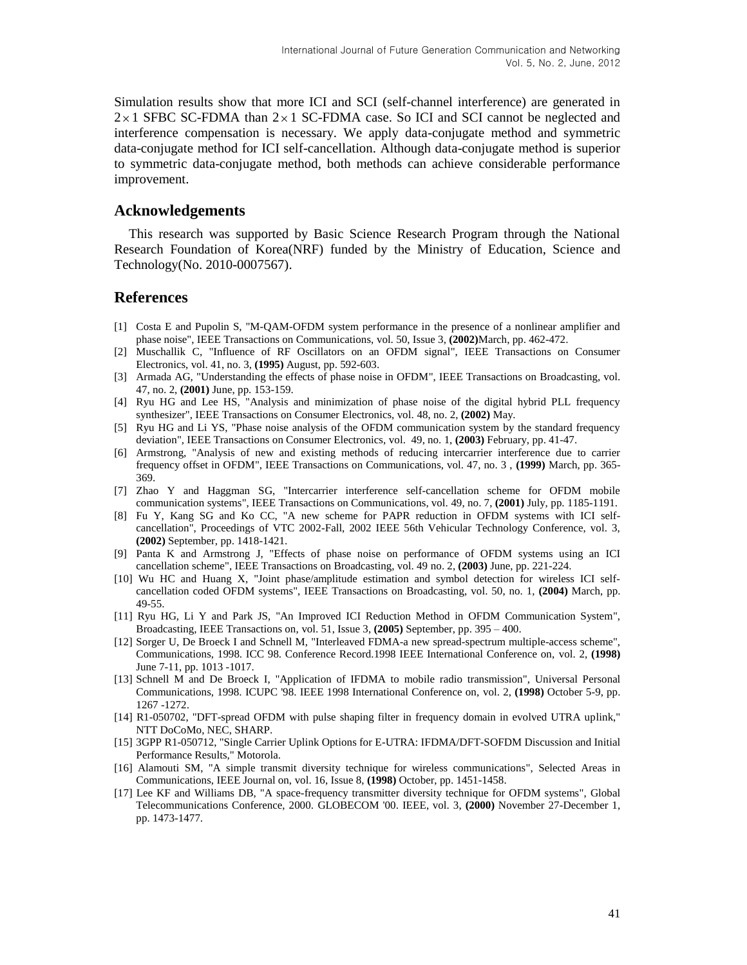Simulation results show that more ICI and SCI (self-channel interference) are generated in  $2 \times 1$  SFBC SC-FDMA than  $2 \times 1$  SC-FDMA case. So ICI and SCI cannot be neglected and interference compensation is necessary. We apply data-conjugate method and symmetric data-conjugate method for ICI self-cancellation. Although data-conjugate method is superior to symmetric data-conjugate method, both methods can achieve considerable performance improvement.

#### **Acknowledgements**

This research was supported by Basic Science Research Program through the National Research Foundation of Korea(NRF) funded by the Ministry of Education, Science and Technology(No. 2010-0007567).

## **References**

- [1] Costa E and Pupolin S, "M-QAM-OFDM system performance in the presence of a nonlinear amplifier and phase noise", IEEE Transactions on Communications, vol. 50, Issue 3, **(2002)**March, pp. 462-472.
- [2] Muschallik C, "Influence of RF Oscillators on an OFDM signal", IEEE Transactions on Consumer Electronics, vol. 41, no. 3, **(1995)** August, pp. 592-603.
- [3] Armada AG, "Understanding the effects of phase noise in OFDM", IEEE Transactions on Broadcasting, vol. 47, no. 2, **(2001)** June, pp. 153-159.
- [4] Ryu HG and Lee HS, "Analysis and minimization of phase noise of the digital hybrid PLL frequency synthesizer", IEEE Transactions on Consumer Electronics, vol. 48, no. 2, **(2002)** May.
- [5] Ryu HG and Li YS, "Phase noise analysis of the OFDM communication system by the standard frequency deviation", IEEE Transactions on Consumer Electronics, vol. 49, no. 1, **(2003)** February, pp. 41-47.
- [6] Armstrong, "Analysis of new and existing methods of reducing intercarrier interference due to carrier frequency offset in OFDM", IEEE Transactions on Communications, vol. 47, no. 3 , **(1999)** March, pp. 365- 369.
- [7] Zhao Y and Haggman SG, "Intercarrier interference self-cancellation scheme for OFDM mobile communication systems", IEEE Transactions on Communications, vol. 49, no. 7, **(2001)** July, pp. 1185-1191.
- [8] Fu Y, Kang SG and Ko CC, "A new scheme for PAPR reduction in OFDM systems with ICI selfcancellation", Proceedings of VTC 2002-Fall, 2002 IEEE 56th Vehicular Technology Conference, vol. 3, **(2002)** September, pp. 1418-1421.
- [9] Panta K and Armstrong J, "Effects of phase noise on performance of OFDM systems using an ICI cancellation scheme", IEEE Transactions on Broadcasting, vol. 49 no. 2, **(2003)** June, pp. 221-224.
- [10] Wu HC and Huang X, "Joint phase/amplitude estimation and symbol detection for wireless ICI selfcancellation coded OFDM systems", IEEE Transactions on Broadcasting, vol. 50, no. 1, **(2004)** March, pp. 49-55.
- [11] Ryu HG, Li Y and Park JS, "An Improved ICI Reduction Method in OFDM Communication System", Broadcasting, IEEE Transactions on, vol. 51, Issue 3, **(2005)** September, pp. 395 – 400.
- [12] Sorger U, De Broeck I and Schnell M, "Interleaved FDMA-a new spread-spectrum multiple-access scheme", Communications, 1998. ICC 98. Conference Record.1998 IEEE International Conference on, vol. 2, **(1998)** June 7-11, pp. 1013 -1017.
- [13] Schnell M and De Broeck I, "Application of IFDMA to mobile radio transmission", Universal Personal Communications, 1998. ICUPC '98. IEEE 1998 International Conference on, vol. 2, **(1998)** October 5-9, pp. 1267 -1272.
- [14] R1-050702, "DFT-spread OFDM with pulse shaping filter in frequency domain in evolved UTRA uplink," NTT DoCoMo, NEC, SHARP.
- [15] 3GPP R1-050712, "Single Carrier Uplink Options for E-UTRA: IFDMA/DFT-SOFDM Discussion and Initial Performance Results," Motorola.
- [16] Alamouti SM, "A simple transmit diversity technique for wireless communications", Selected Areas in Communications, IEEE Journal on, vol. 16, Issue 8, **(1998)** October, pp. 1451-1458.
- [17] Lee KF and Williams DB, "A space-frequency transmitter diversity technique for OFDM systems", Global Telecommunications Conference, 2000. GLOBECOM '00. IEEE, vol. 3, **(2000)** November 27-December 1, pp. 1473-1477.